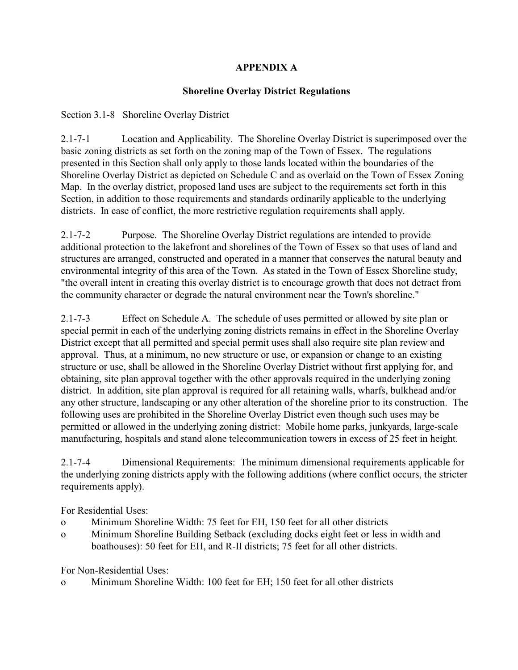## **APPENDIX A**

## **Shoreline Overlay District Regulations**

Section 3.1-8 Shoreline Overlay District

2.1-7-1 Location and Applicability. The Shoreline Overlay District is superimposed over the basic zoning districts as set forth on the zoning map of the Town of Essex. The regulations presented in this Section shall only apply to those lands located within the boundaries of the Shoreline Overlay District as depicted on Schedule C and as overlaid on the Town of Essex Zoning Map. In the overlay district, proposed land uses are subject to the requirements set forth in this Section, in addition to those requirements and standards ordinarily applicable to the underlying districts. In case of conflict, the more restrictive regulation requirements shall apply.

2.1-7-2 Purpose. The Shoreline Overlay District regulations are intended to provide additional protection to the lakefront and shorelines of the Town of Essex so that uses of land and structures are arranged, constructed and operated in a manner that conserves the natural beauty and environmental integrity of this area of the Town. As stated in the Town of Essex Shoreline study, "the overall intent in creating this overlay district is to encourage growth that does not detract from the community character or degrade the natural environment near the Town's shoreline."

2.1-7-3 Effect on Schedule A. The schedule of uses permitted or allowed by site plan or special permit in each of the underlying zoning districts remains in effect in the Shoreline Overlay District except that all permitted and special permit uses shall also require site plan review and approval. Thus, at a minimum, no new structure or use, or expansion or change to an existing structure or use, shall be allowed in the Shoreline Overlay District without first applying for, and obtaining, site plan approval together with the other approvals required in the underlying zoning district. In addition, site plan approval is required for all retaining walls, wharfs, bulkhead and/or any other structure, landscaping or any other alteration of the shoreline prior to its construction. The following uses are prohibited in the Shoreline Overlay District even though such uses may be permitted or allowed in the underlying zoning district: Mobile home parks, junkyards, large-scale manufacturing, hospitals and stand alone telecommunication towers in excess of 25 feet in height.

2.1-7-4 Dimensional Requirements: The minimum dimensional requirements applicable for the underlying zoning districts apply with the following additions (where conflict occurs, the stricter requirements apply).

For Residential Uses:

- o Minimum Shoreline Width: 75 feet for EH, 150 feet for all other districts
- o Minimum Shoreline Building Setback (excluding docks eight feet or less in width and boathouses): 50 feet for EH, and R-II districts; 75 feet for all other districts.

For Non-Residential Uses:

o Minimum Shoreline Width: 100 feet for EH; 150 feet for all other districts